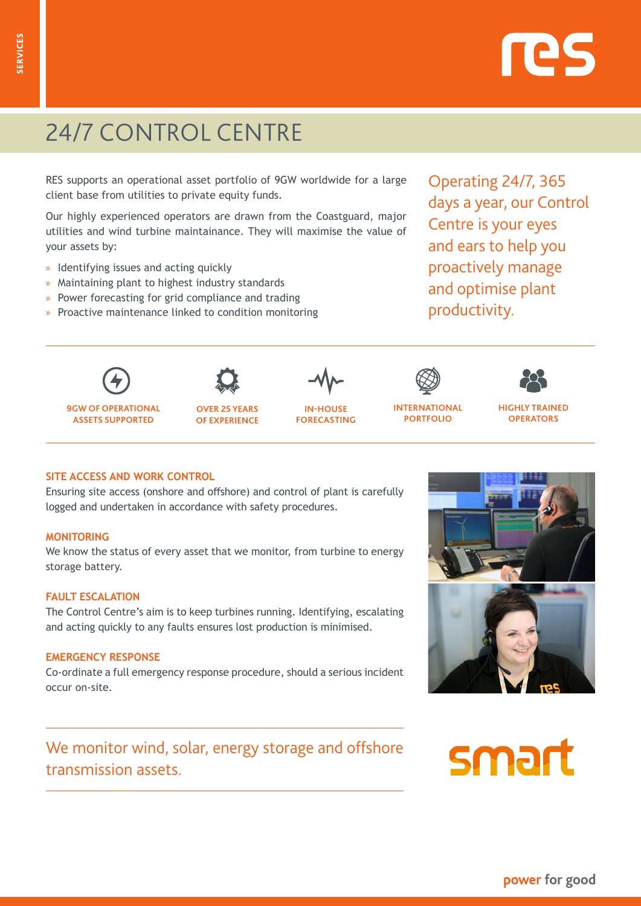## power for good

# 24/7 CONTROL CENTRE

RES supports an operational asset portfolio of 9GW worldwide for a large client base from utilities to private equity funds.

Our highly experienced operators are drawn from the Coastguard, major utilities and wind turbine maintainance. They will maximise the value of your assets by:

- » Identifying issues and acting quickly
- » Maintaining plant to highest industry standards
- » Power forecasting for grid compliance and trading
- » Proactive maintenance linked to condition monitoring

Operating 24/7, 365 days a year, our Control Centre is your eyes and ears to help you proactively manage and optimise plant productivity.

| 9GW OF OPERATIONAL      |
|-------------------------|
| <b>ASSETS SUPPORTED</b> |

**OVER 25 YEARS OF EXPERIENCE**



**INTERNATIONAL PORTFOLIO**



#### **SITE ACCESS AND WORK CONTROL**

Ensuring site access (onshore and offshore) and control of plant is carefully logged and undertaken in accordance with safety procedures.

#### **MONITORING**

We know the status of every asset that we monitor, from turbine to energy storage battery.

#### **FAULT ESCALATION**

The Control Centre's aim is to keep turbines running. Identifying, escalating and acting quickly to any faults ensures lost production is minimised.

#### **EMERGENCY RESPONSE**

Co-ordinate a full emergency response procedure, should a serious incident occur on-site.

We monitor wind, solar, energy storage and offshore transmission assets.